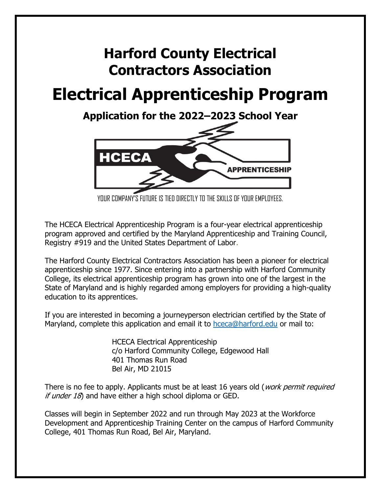# **Harford County Electrical Contractors Association**

# **Electrical Apprenticeship Program**

**Application for the 2022–2023 School Year**



YOUR COMPANY'S FUTURE IS TIED DIRECTLY TO THE SKILLS OF YOUR EMPLOYEES.

The HCECA Electrical Apprenticeship Program is a four-year electrical apprenticeship program approved and certified by the Maryland Apprenticeship and Training Council, Registry #919 and the United States Department of Labor.

The Harford County Electrical Contractors Association has been a pioneer for electrical apprenticeship since 1977. Since entering into a partnership with Harford Community College, its electrical apprenticeship program has grown into one of the largest in the State of Maryland and is highly regarded among employers for providing a high-quality education to its apprentices.

If you are interested in becoming a journeyperson electrician certified by the State of Maryland, complete this application and email it to [hceca@harford.edu](mailto:hceca@harford.edu) or mail to:

> HCECA Electrical Apprenticeship c/o Harford Community College, Edgewood Hall 401 Thomas Run Road Bel Air, MD 21015

There is no fee to apply. Applicants must be at least 16 years old (*work permit required* if under  $18$ ) and have either a high school diploma or GED.

Classes will begin in September 2022 and run through May 2023 at the Workforce Development and Apprenticeship Training Center on the campus of Harford Community College, 401 Thomas Run Road, Bel Air, Maryland.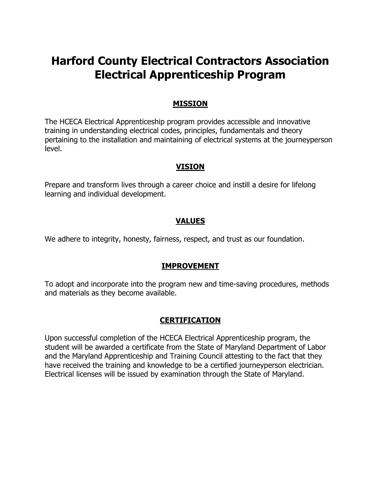# **Harford County Electrical Contractors Association Electrical Apprenticeship Program**

### **MISSION**

The HCECA Electrical Apprenticeship program provides accessible and innovative training in understanding electrical codes, principles, fundamentals and theory pertaining to the installation and maintaining of electrical systems at the journeyperson level.

#### **VISION**

Prepare and transform lives through a career choice and instill a desire for lifelong learning and individual development.

#### **VALUES**

We adhere to integrity, honesty, fairness, respect, and trust as our foundation.

#### **IMPROVEMENT**

To adopt and incorporate into the program new and time-saving procedures, methods and materials as they become available.

#### **CERTIFICATION**

Upon successful completion of the HCECA Electrical Apprenticeship program, the student will be awarded a certificate from the State of Maryland Department of Labor and the Maryland Apprenticeship and Training Council attesting to the fact that they have received the training and knowledge to be a certified journeyperson electrician. Electrical licenses will be issued by examination through the State of Maryland.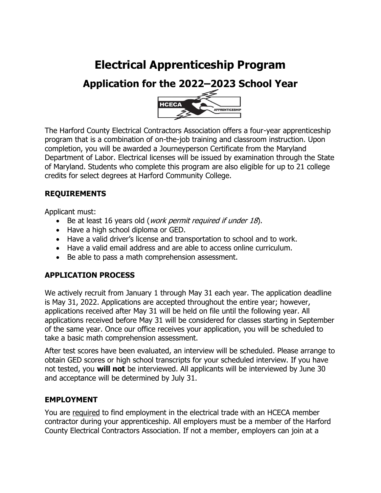# **Electrical Apprenticeship Program**

# **Application for the 2022–2023 School Year**



The Harford County Electrical Contractors Association offers a four-year apprenticeship program that is a combination of on-the-job training and classroom instruction. Upon completion, you will be awarded a Journeyperson Certificate from the Maryland Department of Labor. Electrical licenses will be issued by examination through the State of Maryland. Students who complete this program are also eligible for up to 21 college credits for select degrees at Harford Community College.

# **REQUIREMENTS**

Applicant must:

- Be at least 16 years old (*work permit required if under 18*).
- Have a high school diploma or GED.
- Have a valid driver's license and transportation to school and to work.
- Have a valid email address and are able to access online curriculum.
- Be able to pass a math comprehension assessment.

# **APPLICATION PROCESS**

We actively recruit from January 1 through May 31 each year. The application deadline is May 31, 2022. Applications are accepted throughout the entire year; however, applications received after May 31 will be held on file until the following year. All applications received before May 31 will be considered for classes starting in September of the same year. Once our office receives your application, you will be scheduled to take a basic math comprehension assessment.

After test scores have been evaluated, an interview will be scheduled. Please arrange to obtain GED scores or high school transcripts for your scheduled interview. If you have not tested, you **will not** be interviewed. All applicants will be interviewed by June 30 and acceptance will be determined by July 31.

# **EMPLOYMENT**

You are required to find employment in the electrical trade with an HCECA member contractor during your apprenticeship. All employers must be a member of the Harford County Electrical Contractors Association. If not a member, employers can join at a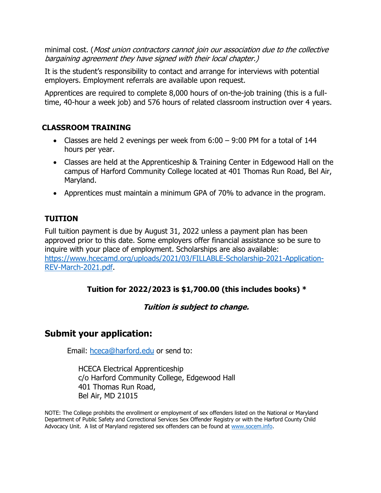minimal cost. (Most union contractors cannot join our association due to the collective bargaining agreement they have signed with their local chapter.)

It is the student's responsibility to contact and arrange for interviews with potential employers. Employment referrals are available upon request.

Apprentices are required to complete 8,000 hours of on-the-job training (this is a fulltime, 40-hour a week job) and 576 hours of related classroom instruction over 4 years.

## **CLASSROOM TRAINING**

- Classes are held 2 evenings per week from 6:00 9:00 PM for a total of 144 hours per year.
- Classes are held at the Apprenticeship & Training Center in Edgewood Hall on the campus of Harford Community College located at 401 Thomas Run Road, Bel Air, Maryland.
- Apprentices must maintain a minimum GPA of 70% to advance in the program.

# **TUITION**

Full tuition payment is due by August 31, 2022 unless a payment plan has been approved prior to this date. Some employers offer financial assistance so be sure to inquire with your place of employment. Scholarships are also available: [https://www.hcecamd.org/uploads/2021/03/FILLABLE-Scholarship-2021-Application-](https://www.hcecamd.org/uploads/2021/03/FILLABLE-Scholarship-2021-Application-REV-March-2021.pdf)[REV-March-2021.pdf.](https://www.hcecamd.org/uploads/2021/03/FILLABLE-Scholarship-2021-Application-REV-March-2021.pdf)

# **Tuition for 2022/2023 is \$1,700.00 (this includes books) \***

#### **Tuition is subject to change.**

# **Submit your application:**

Email: [hceca@harford.edu](mailto:hceca@harford.edu) or send to:

HCECA Electrical Apprenticeship c/o Harford Community College, Edgewood Hall 401 Thomas Run Road, Bel Air, MD 21015

NOTE: The College prohibits the enrollment or employment of sex offenders listed on the National or Maryland Department of Public Safety and Correctional Services Sex Offender Registry or with the Harford County Child Advocacy Unit. A list of Maryland registered sex offenders can be found at [www.socem.info.](http://www.socem.info/)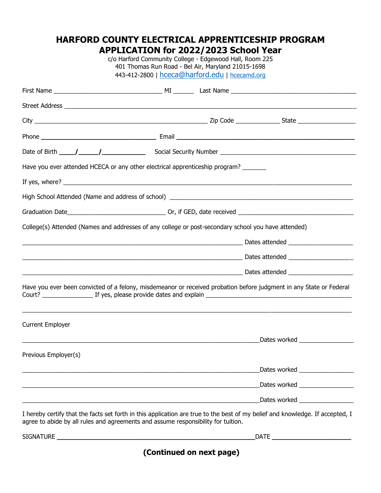# **HARFORD COUNTY ELECTRICAL APPRENTICESHIP PROGRAM APPLICATION for 2022/2023 School Year**

c/o Harford Community College - Edgewood Hall, Room 225 401 Thomas Run Road - Bel Air, Maryland 21015-1698 443-412-2800 | [hceca@harford.edu](mailto:hceca@harford.edu) | [hcecamd.org](http://www.hcecamd.org/)

| Have you ever attended HCECA or any other electrical apprenticeship program?                                                                                                                                       |  |                                 |
|--------------------------------------------------------------------------------------------------------------------------------------------------------------------------------------------------------------------|--|---------------------------------|
|                                                                                                                                                                                                                    |  |                                 |
|                                                                                                                                                                                                                    |  |                                 |
|                                                                                                                                                                                                                    |  |                                 |
| College(s) Attended (Names and addresses of any college or post-secondary school you have attended)                                                                                                                |  |                                 |
|                                                                                                                                                                                                                    |  |                                 |
|                                                                                                                                                                                                                    |  |                                 |
|                                                                                                                                                                                                                    |  |                                 |
| Have you ever been convicted of a felony, misdemeanor or received probation before judgment in any State or Federal                                                                                                |  |                                 |
| <b>Current Employer</b>                                                                                                                                                                                            |  |                                 |
|                                                                                                                                                                                                                    |  |                                 |
| Previous Employer(s)                                                                                                                                                                                               |  |                                 |
|                                                                                                                                                                                                                    |  | Dates worked __________________ |
|                                                                                                                                                                                                                    |  | Dates worked __________________ |
|                                                                                                                                                                                                                    |  | Dates worked __________________ |
| I hereby certify that the facts set forth in this application are true to the best of my belief and knowledge. If accepted, I<br>agree to abide by all rules and agreements and assume responsibility for tuition. |  |                                 |

 $\blacksquare$  SIGNATURE  $\blacksquare$ 

**(Continued on next page)**